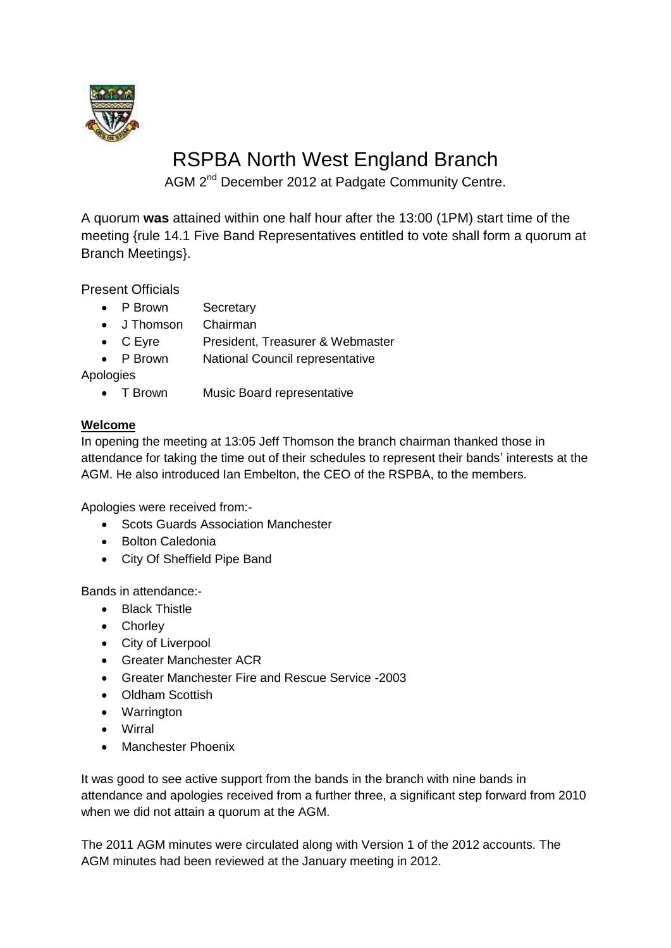

# RSPBA North West England Branch

AGM 2<sup>nd</sup> December 2012 at Padgate Community Centre.

A quorum **was** attained within one half hour after the 13:00 (1PM) start time of the meeting {rule 14.1 Five Band Representatives entitled to vote shall form a quorum at Branch Meetings}.

Present Officials

- P Brown Secretary
- J Thomson Chairman
- C Eyre President, Treasurer & Webmaster
- P Brown National Council representative

Apologies

• T Brown Music Board representative

# **Welcome**

In opening the meeting at 13:05 Jeff Thomson the branch chairman thanked those in attendance for taking the time out of their schedules to represent their bands' interests at the AGM. He also introduced Ian Embelton, the CEO of the RSPBA, to the members.

Apologies were received from:-

- Scots Guards Association Manchester
- Bolton Caledonia
- City Of Sheffield Pipe Band

Bands in attendance:-

- Black Thistle
- Chorley
- City of Liverpool
- Greater Manchester ACR
- Greater Manchester Fire and Rescue Service -2003
- Oldham Scottish
- Warrington
- Wirral
- Manchester Phoenix

It was good to see active support from the bands in the branch with nine bands in attendance and apologies received from a further three, a significant step forward from 2010 when we did not attain a quorum at the AGM.

The 2011 AGM minutes were circulated along with Version 1 of the 2012 accounts. The AGM minutes had been reviewed at the January meeting in 2012.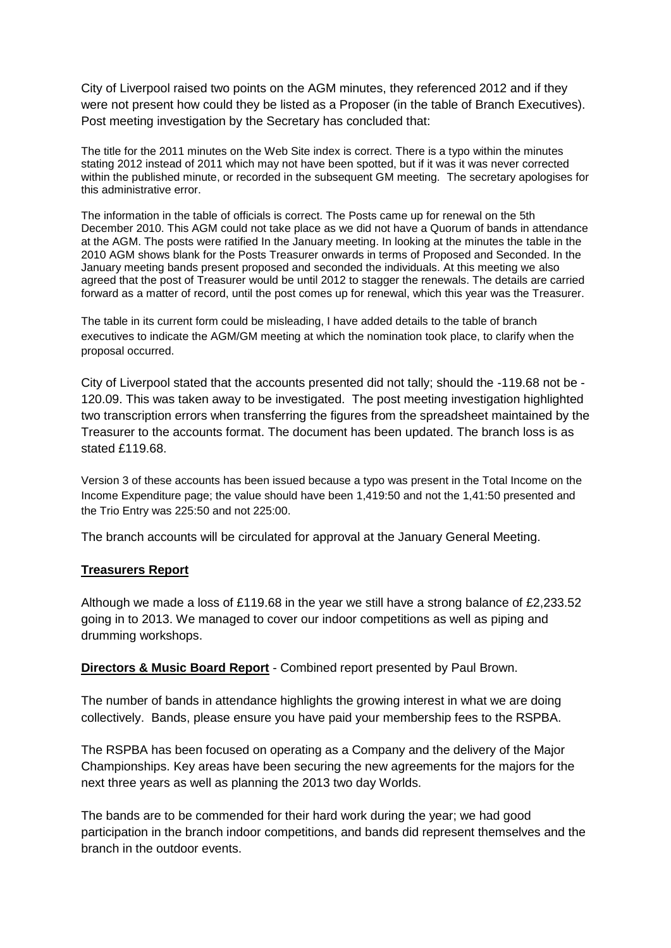City of Liverpool raised two points on the AGM minutes, they referenced 2012 and if they were not present how could they be listed as a Proposer (in the table of Branch Executives). Post meeting investigation by the Secretary has concluded that:

The title for the 2011 minutes on the Web Site index is correct. There is a typo within the minutes stating 2012 instead of 2011 which may not have been spotted, but if it was it was never corrected within the published minute, or recorded in the subsequent GM meeting. The secretary apologises for this administrative error.

The information in the table of officials is correct. The Posts came up for renewal on the 5th December 2010. This AGM could not take place as we did not have a Quorum of bands in attendance at the AGM. The posts were ratified In the January meeting. In looking at the minutes the table in the 2010 AGM shows blank for the Posts Treasurer onwards in terms of Proposed and Seconded. In the January meeting bands present proposed and seconded the individuals. At this meeting we also agreed that the post of Treasurer would be until 2012 to stagger the renewals. The details are carried forward as a matter of record, until the post comes up for renewal, which this year was the Treasurer.

The table in its current form could be misleading, I have added details to the table of branch executives to indicate the AGM/GM meeting at which the nomination took place, to clarify when the proposal occurred.

City of Liverpool stated that the accounts presented did not tally; should the -119.68 not be - 120.09. This was taken away to be investigated. The post meeting investigation highlighted two transcription errors when transferring the figures from the spreadsheet maintained by the Treasurer to the accounts format. The document has been updated. The branch loss is as stated £119.68.

Version 3 of these accounts has been issued because a typo was present in the Total Income on the Income Expenditure page; the value should have been 1,419:50 and not the 1,41:50 presented and the Trio Entry was 225:50 and not 225:00.

The branch accounts will be circulated for approval at the January General Meeting.

#### **Treasurers Report**

Although we made a loss of £119.68 in the year we still have a strong balance of £2,233.52 going in to 2013. We managed to cover our indoor competitions as well as piping and drumming workshops.

**Directors & Music Board Report** - Combined report presented by Paul Brown.

The number of bands in attendance highlights the growing interest in what we are doing collectively. Bands, please ensure you have paid your membership fees to the RSPBA.

The RSPBA has been focused on operating as a Company and the delivery of the Major Championships. Key areas have been securing the new agreements for the majors for the next three years as well as planning the 2013 two day Worlds.

The bands are to be commended for their hard work during the year; we had good participation in the branch indoor competitions, and bands did represent themselves and the branch in the outdoor events.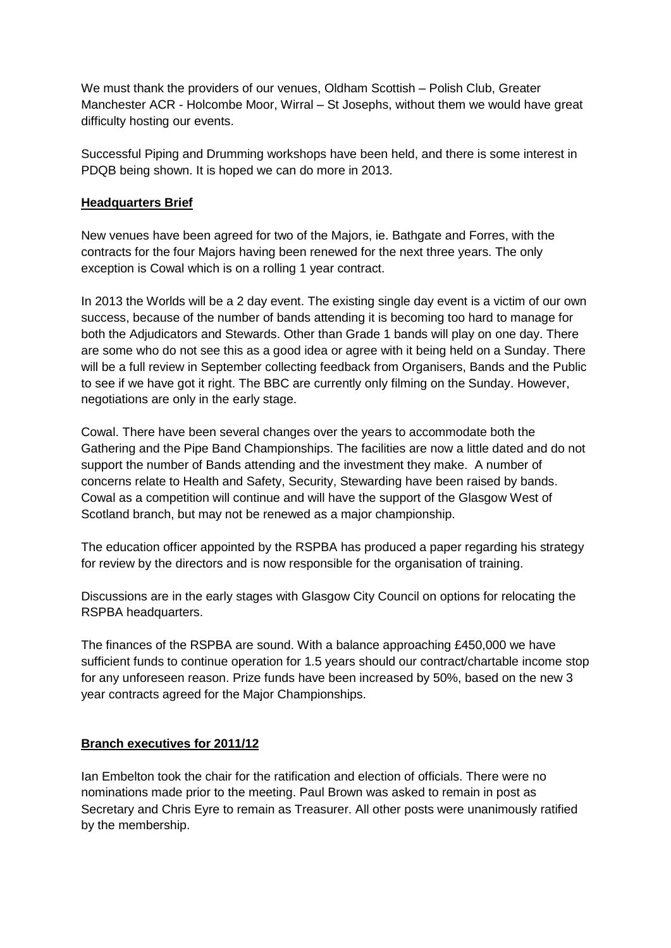We must thank the providers of our venues, Oldham Scottish – Polish Club, Greater Manchester ACR - Holcombe Moor, Wirral – St Josephs, without them we would have great difficulty hosting our events.

Successful Piping and Drumming workshops have been held, and there is some interest in PDQB being shown. It is hoped we can do more in 2013.

### **Headquarters Brief**

New venues have been agreed for two of the Majors, ie. Bathgate and Forres, with the contracts for the four Majors having been renewed for the next three years. The only exception is Cowal which is on a rolling 1 year contract.

In 2013 the Worlds will be a 2 day event. The existing single day event is a victim of our own success, because of the number of bands attending it is becoming too hard to manage for both the Adjudicators and Stewards. Other than Grade 1 bands will play on one day. There are some who do not see this as a good idea or agree with it being held on a Sunday. There will be a full review in September collecting feedback from Organisers, Bands and the Public to see if we have got it right. The BBC are currently only filming on the Sunday. However, negotiations are only in the early stage.

Cowal. There have been several changes over the years to accommodate both the Gathering and the Pipe Band Championships. The facilities are now a little dated and do not support the number of Bands attending and the investment they make. A number of concerns relate to Health and Safety, Security, Stewarding have been raised by bands. Cowal as a competition will continue and will have the support of the Glasgow West of Scotland branch, but may not be renewed as a major championship.

The education officer appointed by the RSPBA has produced a paper regarding his strategy for review by the directors and is now responsible for the organisation of training.

Discussions are in the early stages with Glasgow City Council on options for relocating the RSPBA headquarters.

The finances of the RSPBA are sound. With a balance approaching £450,000 we have sufficient funds to continue operation for 1.5 years should our contract/chartable income stop for any unforeseen reason. Prize funds have been increased by 50%, based on the new 3 year contracts agreed for the Major Championships.

# **Branch executives for 2011/12**

Ian Embelton took the chair for the ratification and election of officials. There were no nominations made prior to the meeting. Paul Brown was asked to remain in post as Secretary and Chris Eyre to remain as Treasurer. All other posts were unanimously ratified by the membership.